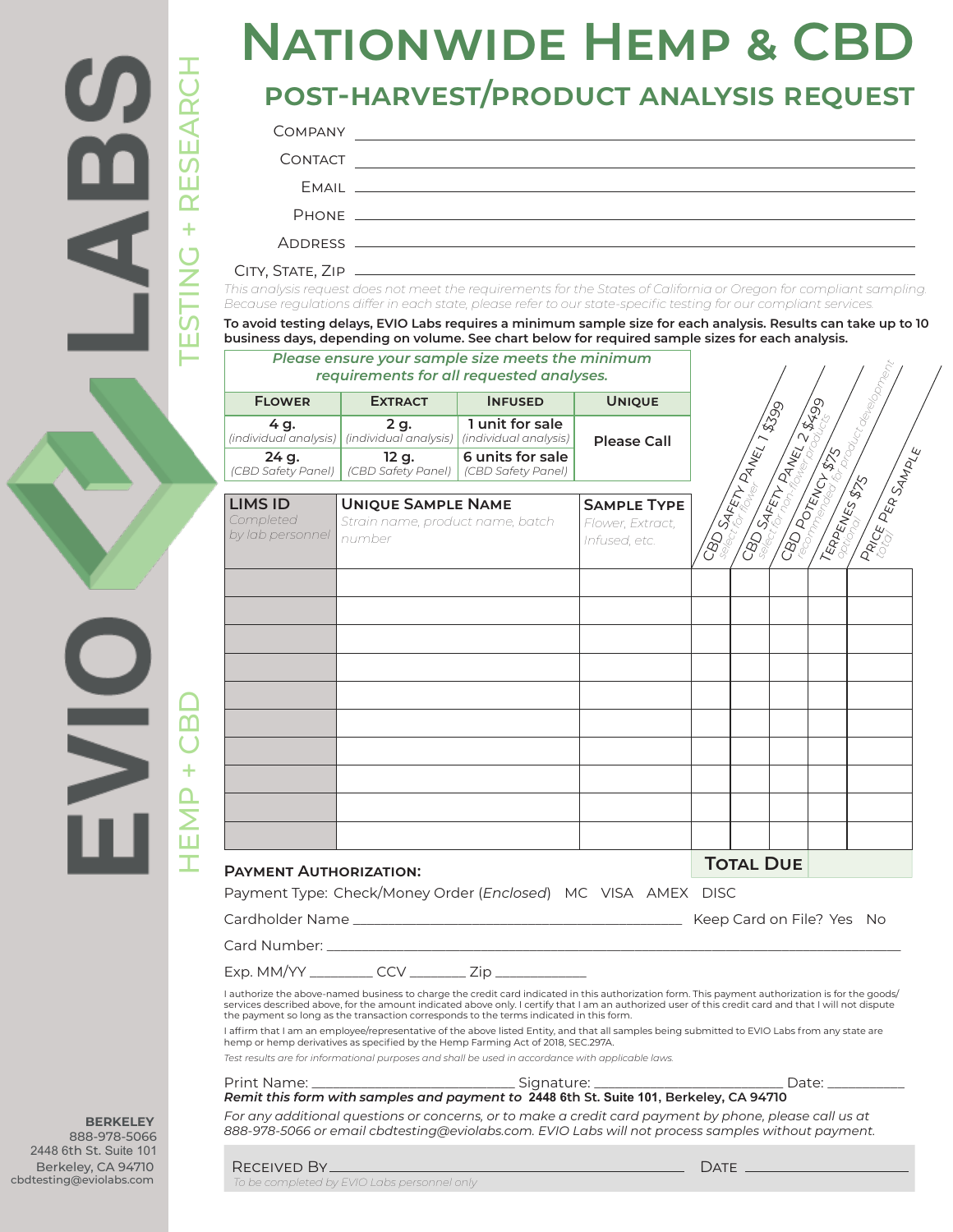

### **post-harvest/product analysis request**

| <b>COMPANY</b> |          |
|----------------|----------|
| <b>CONTACT</b> |          |
|                | $F$ MAII |
|                | PHONF    |
|                |          |

| CONTACT                       |                                  | <u> 1989 - Johann Harry Harry Harry Harry Harry Harry Harry Harry Harry Harry Harry Harry Harry Harry Harry Harry</u>                                                                                                                                                                                      |                    |                                 |                        |                                                 |
|-------------------------------|----------------------------------|------------------------------------------------------------------------------------------------------------------------------------------------------------------------------------------------------------------------------------------------------------------------------------------------------------|--------------------|---------------------------------|------------------------|-------------------------------------------------|
|                               |                                  |                                                                                                                                                                                                                                                                                                            |                    |                                 |                        |                                                 |
|                               |                                  |                                                                                                                                                                                                                                                                                                            |                    |                                 |                        |                                                 |
|                               |                                  |                                                                                                                                                                                                                                                                                                            |                    |                                 |                        |                                                 |
|                               |                                  | This analysis request does not meet the requirements for the States of California or Oregon for compliant sampling.                                                                                                                                                                                        |                    |                                 |                        |                                                 |
|                               |                                  | Because regulations differ in each state, please refer to our state-specific testing for our compliant services.<br>To avoid testing delays, EVIO Labs requires a minimum sample size for each analysis. Results can take up to 10                                                                         |                    |                                 |                        |                                                 |
|                               |                                  | business days, depending on volume. See chart below for required sample sizes for each analysis.                                                                                                                                                                                                           |                    |                                 |                        |                                                 |
|                               |                                  | Please ensure your sample size meets the minimum<br>requirements for all requested analyses.                                                                                                                                                                                                               |                    |                                 |                        |                                                 |
| <b>FLOWER</b>                 | <b>EXTRACT</b>                   | <b>INFUSED</b>                                                                                                                                                                                                                                                                                             | <b>UNIQUE</b>      |                                 |                        |                                                 |
| 4 g.                          | 2 g.                             | 1 unit for sale<br>(individual analysis)   (individual analysis)   (individual analysis)                                                                                                                                                                                                                   | <b>Please Call</b> |                                 |                        |                                                 |
| 24 g.<br>(CBD Safety Panel)   | 12 g.<br>(CBD Safety Panel)      | 6 units for sale<br>(CBD Safety Panel)                                                                                                                                                                                                                                                                     |                    | <b>SBD SAFETY PANEL 1 \$399</b> | <b>SBD SAFFT ANEL2</b> | <b>CBD POTENTY STATES</b><br>I Parce Pea Sanner |
| <b>LIMS ID</b>                | <b>UNIQUE SAMPLE NAME</b>        |                                                                                                                                                                                                                                                                                                            | <b>SAMPLE TYPE</b> |                                 |                        |                                                 |
| Completed<br>by lab personnel | Strain name, product name, batch |                                                                                                                                                                                                                                                                                                            | Flower, Extract,   |                                 |                        |                                                 |
|                               | number                           |                                                                                                                                                                                                                                                                                                            | Infused, etc.      |                                 |                        |                                                 |
|                               |                                  |                                                                                                                                                                                                                                                                                                            |                    |                                 |                        |                                                 |
|                               |                                  |                                                                                                                                                                                                                                                                                                            |                    |                                 |                        |                                                 |
|                               |                                  |                                                                                                                                                                                                                                                                                                            |                    |                                 |                        |                                                 |
|                               |                                  |                                                                                                                                                                                                                                                                                                            |                    |                                 |                        |                                                 |
|                               |                                  |                                                                                                                                                                                                                                                                                                            |                    |                                 |                        |                                                 |
|                               |                                  |                                                                                                                                                                                                                                                                                                            |                    |                                 |                        |                                                 |
|                               |                                  |                                                                                                                                                                                                                                                                                                            |                    |                                 |                        |                                                 |
|                               |                                  |                                                                                                                                                                                                                                                                                                            |                    |                                 |                        |                                                 |
|                               |                                  |                                                                                                                                                                                                                                                                                                            |                    |                                 |                        |                                                 |
|                               |                                  |                                                                                                                                                                                                                                                                                                            |                    |                                 |                        |                                                 |
|                               |                                  |                                                                                                                                                                                                                                                                                                            |                    |                                 |                        |                                                 |
|                               |                                  |                                                                                                                                                                                                                                                                                                            |                    |                                 |                        |                                                 |
| <b>PAYMENT AUTHORIZATION:</b> |                                  |                                                                                                                                                                                                                                                                                                            |                    |                                 | <b>TOTAL DUE</b>       |                                                 |
|                               |                                  | Payment Type: Check/Money Order (Enclosed) MC VISA AMEX DISC                                                                                                                                                                                                                                               |                    |                                 |                        |                                                 |
|                               |                                  |                                                                                                                                                                                                                                                                                                            |                    |                                 |                        | Keep Card on File? Yes No                       |
|                               |                                  |                                                                                                                                                                                                                                                                                                            |                    |                                 |                        |                                                 |
|                               |                                  | Exp. MM/YY ___________ CCV _________ Zip ______________                                                                                                                                                                                                                                                    |                    |                                 |                        |                                                 |
|                               |                                  | I authorize the above-named business to charge the credit card indicated in this authorization form. This payment authorization is for the goods/<br>services described above, for the amount indicated above only. I certify that I am an authorized user of this credit card and that I will not dispute |                    |                                 |                        |                                                 |
|                               |                                  | the payment so long as the transaction corresponds to the terms indicated in this form.                                                                                                                                                                                                                    |                    |                                 |                        |                                                 |
|                               |                                  | I affirm that I am an employee/representative of the above listed Entity, and that all samples being submitted to EVIO Labs from any state are<br>hemp or hemp derivatives as specified by the Hemp Farming Act of 2018, SEC.297A.                                                                         |                    |                                 |                        |                                                 |
|                               |                                  | Test results are for informational purposes and shall be used in accordance with applicable laws.<br>Print Name: __________________________________Signature: _________________________________Date: ______________                                                                                        |                    |                                 |                        |                                                 |
|                               |                                  |                                                                                                                                                                                                                                                                                                            |                    |                                 |                        |                                                 |

*To be completed by EVIO Labs personnel only*

**BERKELEY** 888-978-5066 2448 6th St. Suite 101 Berkeley, CA 94710 cbdtesting@eviolabs.com

 $\frac{\mathsf{O}}{\mathsf{N}}$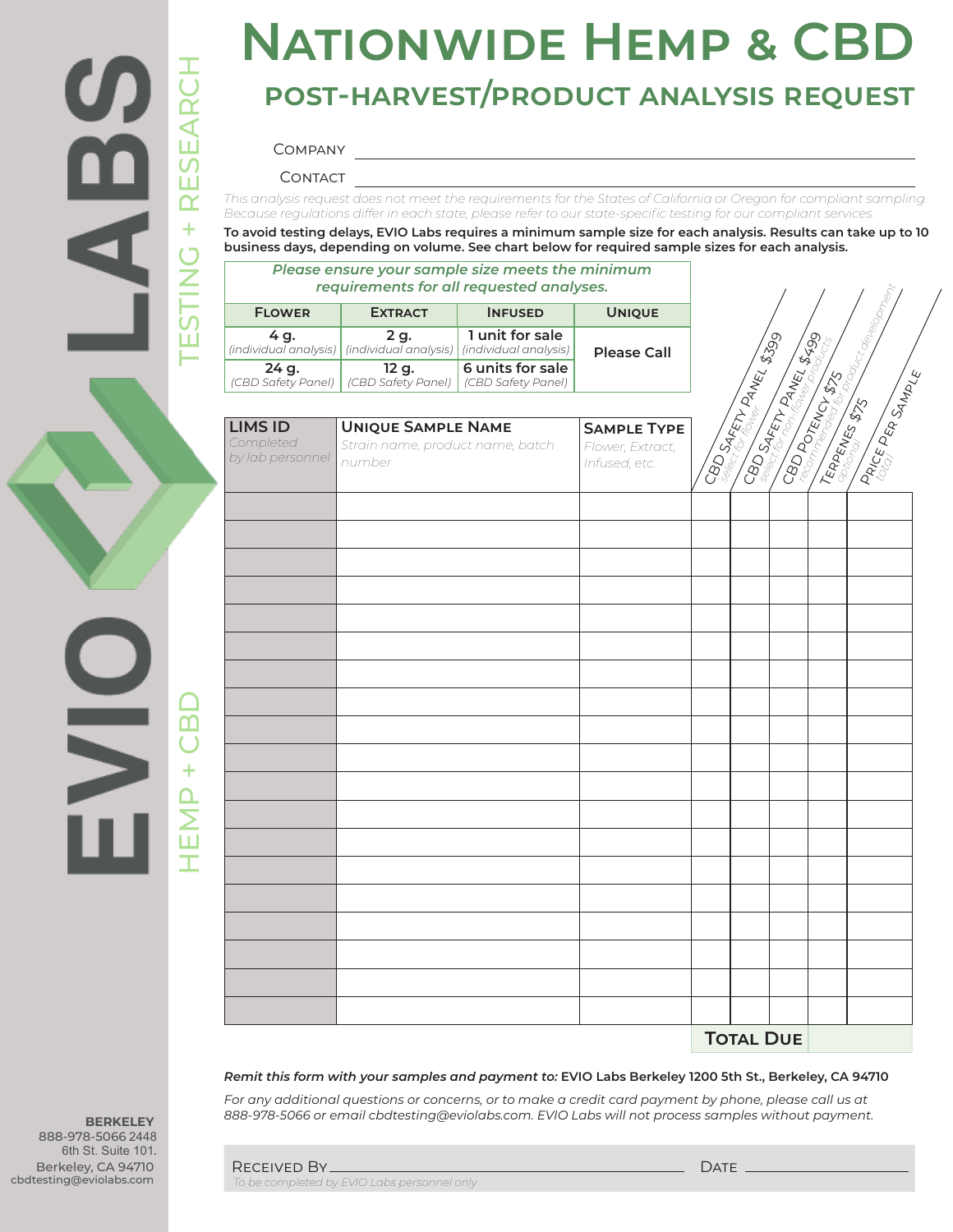

# **Nationwide Hemp & CBD post-harvest/product analysis request**

#### Company

CONTACT

*This analysis request does not meet the requirements for the States of California or Oregon for compliant sampling. Because regulations differ in each state, please refer to our state-specific testing for our compliant services.* 

**To avoid testing delays, EVIO Labs requires a minimum sample size for each analysis. Results can take up to 10 business days, depending on volume. See chart below for required sample sizes for each analysis.**

#### *Please ensure your sample size meets the minimum requirements for all requested analyses.*

| <b>FLOWER</b>               | <b>EXTRACT</b>                                                                | <b>INFUSED</b>                         | <b>UNIOUE</b>      |  |
|-----------------------------|-------------------------------------------------------------------------------|----------------------------------------|--------------------|--|
| 4 a.                        | 2 a.<br>(individual analysis)   (individual analysis)   (individual analysis) | 1 unit for sale                        | <b>Please Call</b> |  |
| 24 g.<br>(CBD Safety Panel) | 12 g.<br>(CBD Safety Panel)                                                   | 6 units for sale<br>(CBD Safety Panel) |                    |  |

| requirements for all requested analyses.        |                                                                         |                                          |                                                         |                               |                               |                                                                                    |
|-------------------------------------------------|-------------------------------------------------------------------------|------------------------------------------|---------------------------------------------------------|-------------------------------|-------------------------------|------------------------------------------------------------------------------------|
| <b>FLOWER</b>                                   | <b>EXTRACT</b>                                                          | <b>INFUSED</b>                           | <b>UNIQUE</b>                                           |                               |                               |                                                                                    |
| 4 g.<br>(individual analysis)                   | 2 g.<br>(individual analysis)                                           | 1 unit for sale<br>(individual analysis) | <b>Please Call</b>                                      |                               |                               |                                                                                    |
| 24 g.<br>(CBD Safety Panel)                     | 12 g.<br>(CBD Safety Panel)                                             | 6 units for sale<br>(CBD Safety Panel)   |                                                         |                               |                               |                                                                                    |
|                                                 |                                                                         |                                          |                                                         |                               |                               |                                                                                    |
| <b>LIMS ID</b><br>Completed<br>by lab personnel | <b>UNIQUE SAMPLE NAME</b><br>Strain name, product name, batch<br>number |                                          | <b>SAMPLE TYPE</b><br>Flower, Extract,<br>Infused, etc. | <b>CBD SAFETY PANEL \$399</b> | <b>CBD SIRETTY DATES SEED</b> | <b>CBD POTENCY \$75</b><br>REPORT OF \$75 SOUTH SERVING<br><b>PRICE PER SAMPLE</b> |
|                                                 |                                                                         |                                          |                                                         |                               |                               |                                                                                    |
|                                                 |                                                                         |                                          |                                                         |                               |                               |                                                                                    |
|                                                 |                                                                         |                                          |                                                         |                               |                               |                                                                                    |
|                                                 |                                                                         |                                          |                                                         |                               |                               |                                                                                    |
|                                                 |                                                                         |                                          |                                                         |                               |                               |                                                                                    |
|                                                 |                                                                         |                                          |                                                         |                               |                               |                                                                                    |
|                                                 |                                                                         |                                          |                                                         |                               |                               |                                                                                    |
|                                                 |                                                                         |                                          |                                                         |                               |                               |                                                                                    |
|                                                 |                                                                         |                                          |                                                         |                               |                               |                                                                                    |
|                                                 |                                                                         |                                          |                                                         |                               |                               |                                                                                    |
|                                                 |                                                                         |                                          |                                                         |                               |                               |                                                                                    |
|                                                 |                                                                         |                                          |                                                         |                               |                               |                                                                                    |
|                                                 |                                                                         |                                          |                                                         |                               |                               |                                                                                    |
|                                                 |                                                                         |                                          |                                                         |                               |                               |                                                                                    |
|                                                 |                                                                         |                                          |                                                         |                               |                               |                                                                                    |
|                                                 |                                                                         |                                          |                                                         |                               |                               |                                                                                    |
|                                                 |                                                                         |                                          |                                                         |                               |                               |                                                                                    |
|                                                 |                                                                         |                                          |                                                         |                               |                               |                                                                                    |
|                                                 |                                                                         | <b>TOTAL DUE</b>                         |                                                         |                               |                               |                                                                                    |

*Remit this form with your samples and payment to:* **EVIO Labs Berkeley 1200 5th St., Berkeley, CA 94710**

For any additional questions or concerns, or to make a credit card payment by phone, please call us at *888-978-5066 or email cbdtesting@eviolabs.com. EVIO Labs will not process samples without payment.*

**BERKELEY** 888-978-5066 2448 6th St. Suite 101. Berkeley, CA 94710 cbdtesting@eviolabs.com

| RECEIVED BY.                                | DATE |
|---------------------------------------------|------|
| To be completed by EVIO Labs personnel only |      |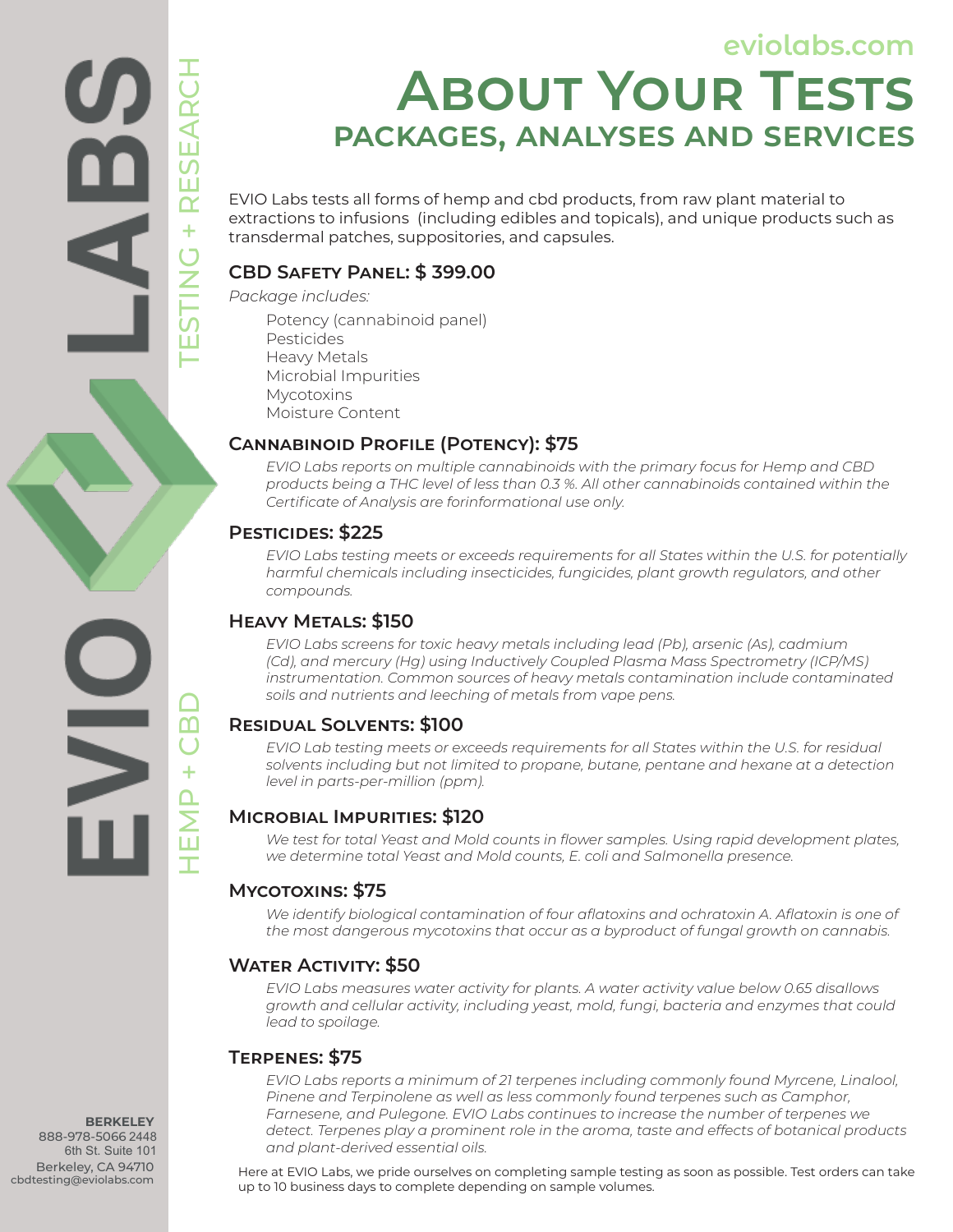**eviolabs.com**

# **About Your Tests packages, analyses and services**

EVIO Labs tests all forms of hemp and cbd products, from raw plant material to extractions to infusions (including edibles and topicals), and unique products such as transdermal patches, suppositories, and capsules.

#### **CBD Safety Panel: \$ 399.00**

*Package includes:*

Potency (cannabinoid panel) Pesticides Heavy Metals Microbial Impurities Mycotoxins

Moisture Content

#### **Cannabinoid Profile (Potency): \$75**

*EVIO Labs reports on multiple cannabinoids with the primary focus for Hemp and CBD products being a THC level of less than 0.3 %. All other cannabinoids contained within the Certificate of Analysis are forinformational use only.*

#### **Pesticides: \$225**

HEMP + CBD TESTING + RESEARCH

ПĪ

 $\ddot{}$ 

*EVIO Labs testing meets or exceeds requirements for all States within the U.S. for potentially harmful chemicals including insecticides, fungicides, plant growth regulators, and other compounds.*

#### **Heavy Metals: \$150**

*EVIO Labs screens for toxic heavy metals including lead (Pb), arsenic (As), cadmium (Cd), and mercury (Hg) using Inductively Coupled Plasma Mass Spectrometry (ICP/MS) instrumentation. Common sources of heavy metals contamination include contaminated soils and nutrients and leeching of metals from vape pens.*

#### **Residual Solvents: \$100**

*EVIO Lab testing meets or exceeds requirements for all States within the U.S. for residual solvents including but not limited to propane, butane, pentane and hexane at a detection level in parts-per-million (ppm).*

#### **Microbial Impurities: \$120**

*We test for total Yeast and Mold counts in flower samples. Using rapid development plates, we determine total Yeast and Mold counts, E. coli and Salmonella presence.*

#### **Mycotoxins: \$75**

*We identify biological contamination of four aflatoxins and ochratoxin A. Aflatoxin is one of the most dangerous mycotoxins that occur as a byproduct of fungal growth on cannabis.*

#### **Water Activity: \$50**

*EVIO Labs measures water activity for plants. A water activity value below 0.65 disallows growth and cellular activity, including yeast, mold, fungi, bacteria and enzymes that could lead to spoilage.*

#### **Terpenes: \$75**

*EVIO Labs reports a minimum of 21 terpenes including commonly found Myrcene, Linalool,*  Pinene and Terpinolene as well as less commonly found terpenes such as Camphor, *Farnesene, and Pulegone. EVIO Labs continues to increase the number of terpenes we detect. Terpenes play a prominent role in the aroma, taste and effects of botanical products and plant-derived essential oils.*

Here at EVIO Labs, we pride ourselves on completing sample testing as soon as possible. Test orders can take up to 10 business days to complete depending on sample volumes.

**BERKELEY** 888-978-5066 2448 6th St. Suite 101 Berkeley, CA 94710 cbdtesting@eviolabs.com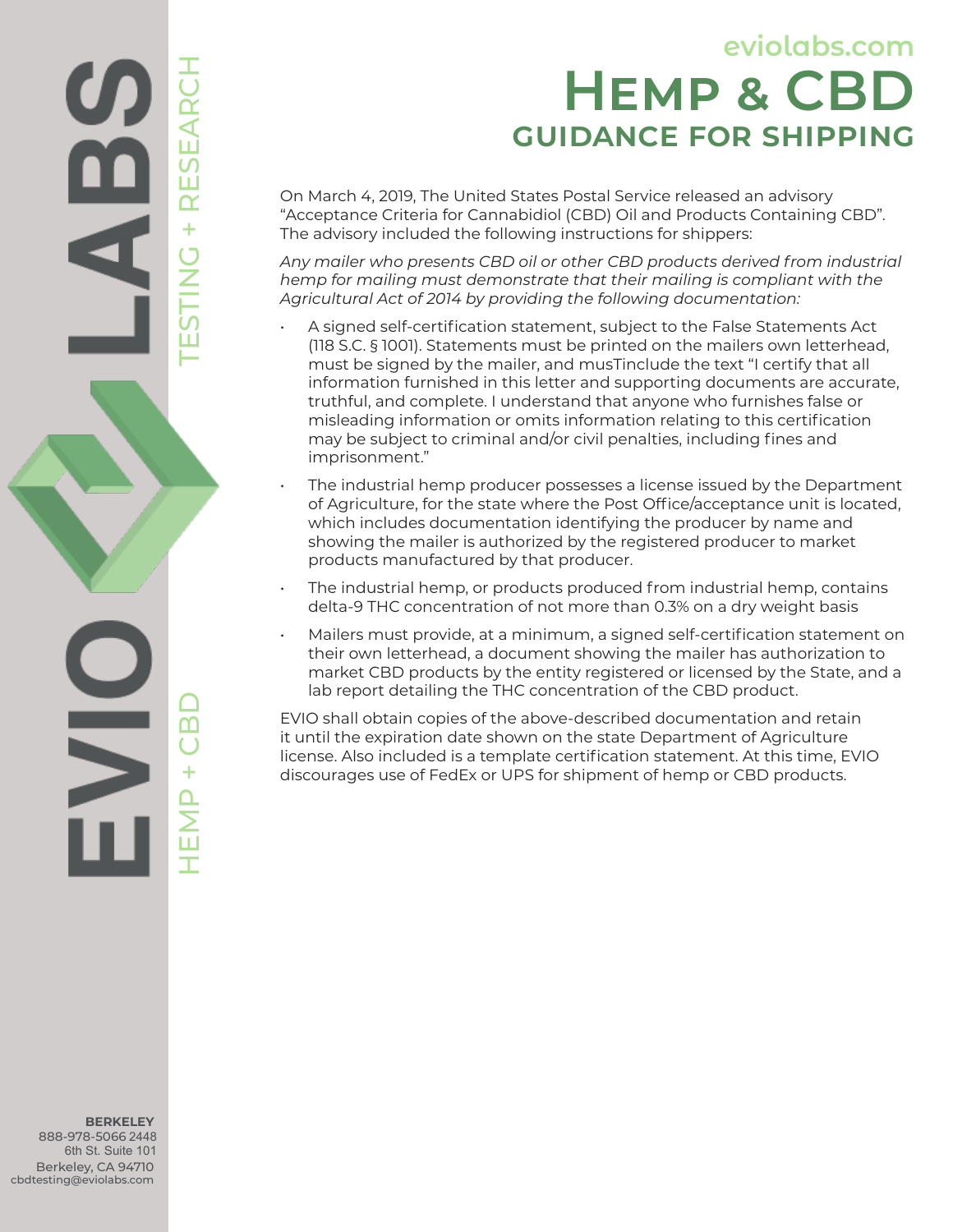## **eviolabs.com Hemp & CBD guidance for shipping**

On March 4, 2019, The United States Postal Service released an advisory "Acceptance Criteria for Cannabidiol (CBD) Oil and Products Containing CBD". The advisory included the following instructions for shippers:

*Any mailer who presents CBD oil or other CBD products derived from industrial hemp for mailing must demonstrate that their mailing is compliant with the Agricultural Act of 2014 by providing the following documentation:*

- A signed self-certification statement, subject to the False Statements Act (118 S.C. § 1001). Statements must be printed on the mailers own letterhead, must be signed by the mailer, and musTinclude the text "I certify that all information furnished in this letter and supporting documents are accurate, truthful, and complete. I understand that anyone who furnishes false or misleading information or omits information relating to this certification may be subject to criminal and/or civil penalties, including fines and imprisonment."
- The industrial hemp producer possesses a license issued by the Department of Agriculture, for the state where the Post Office/acceptance unit is located, which includes documentation identifying the producer by name and showing the mailer is authorized by the registered producer to market products manufactured by that producer.
- The industrial hemp, or products produced from industrial hemp, contains delta-9 THC concentration of not more than 0.3% on a dry weight basis
- Mailers must provide, at a minimum, a signed self-certification statement on their own letterhead, a document showing the mailer has authorization to market CBD products by the entity registered or licensed by the State, and a lab report detailing the THC concentration of the CBD product.

EVIO shall obtain copies of the above-described documentation and retain it until the expiration date shown on the state Department of Agriculture license. Also included is a template certification statement. At this time, EVIO discourages use of FedEx or UPS for shipment of hemp or CBD products.

**BERKELEY** 888-978-5066 2448 6th St. Suite 101 Berkeley, CA 94710 cbdtesting@eviolabs.com

HEMP + CBD TESTING + RESEARCH

മ

 $\mathsf{\Sigma}$ 

**RESI** 

 $\ddot{}$